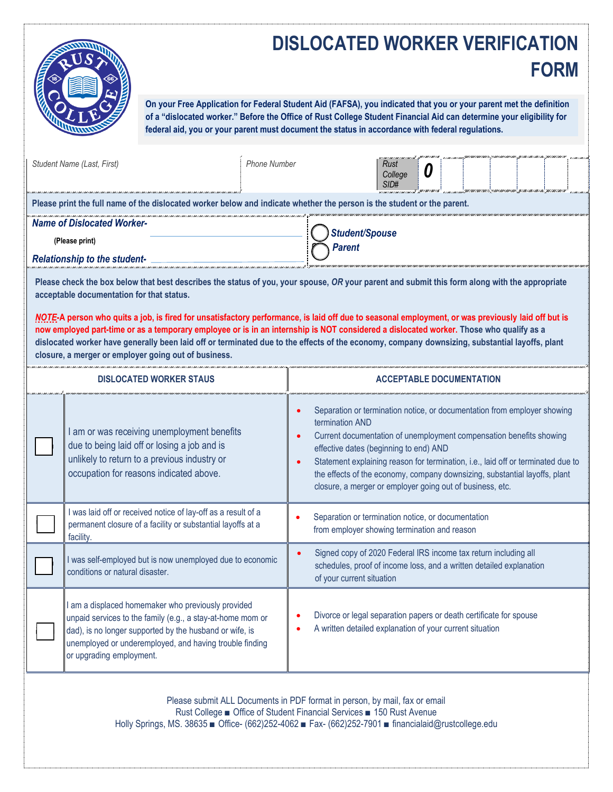## **DISLOCATED WORKER VERIFICATION FORM**



**On your Free Application for Federal Student Aid (FAFSA), you indicated that you or your parent met the definition of a "dislocated worker." Before the Office of Rust College Student Financial Aid can determine your eligibility for federal aid, you or your parent must document the status in accordance with federal regulations.**

|                                                                                                                                                                                                                                                                                                                                                                                                                                                                                                                                                                                                                                                                                                                                            | Student Name (Last, First)                                                                                                                                                                                                                                         | <b>Phone Number</b> | Rust<br>U<br>College<br>SID#                                                                                                                                                                                                                                                                                                                                                                                                                |  |  |
|--------------------------------------------------------------------------------------------------------------------------------------------------------------------------------------------------------------------------------------------------------------------------------------------------------------------------------------------------------------------------------------------------------------------------------------------------------------------------------------------------------------------------------------------------------------------------------------------------------------------------------------------------------------------------------------------------------------------------------------------|--------------------------------------------------------------------------------------------------------------------------------------------------------------------------------------------------------------------------------------------------------------------|---------------------|---------------------------------------------------------------------------------------------------------------------------------------------------------------------------------------------------------------------------------------------------------------------------------------------------------------------------------------------------------------------------------------------------------------------------------------------|--|--|
| Please print the full name of the dislocated worker below and indicate whether the person is the student or the parent.                                                                                                                                                                                                                                                                                                                                                                                                                                                                                                                                                                                                                    |                                                                                                                                                                                                                                                                    |                     |                                                                                                                                                                                                                                                                                                                                                                                                                                             |  |  |
| <b>Name of Dislocated Worker-</b><br><b>Student/Spouse</b>                                                                                                                                                                                                                                                                                                                                                                                                                                                                                                                                                                                                                                                                                 |                                                                                                                                                                                                                                                                    |                     |                                                                                                                                                                                                                                                                                                                                                                                                                                             |  |  |
| (Please print)                                                                                                                                                                                                                                                                                                                                                                                                                                                                                                                                                                                                                                                                                                                             |                                                                                                                                                                                                                                                                    |                     | Parent                                                                                                                                                                                                                                                                                                                                                                                                                                      |  |  |
| <b>Relationship to the student-</b><br>Please check the box below that best describes the status of you, your spouse, OR your parent and submit this form along with the appropriate<br>acceptable documentation for that status.<br>NOTE-A person who quits a job, is fired for unsatisfactory performance, is laid off due to seasonal employment, or was previously laid off but is<br>now employed part-time or as a temporary employee or is in an internship is NOT considered a dislocated worker. Those who qualify as a<br>dislocated worker have generally been laid off or terminated due to the effects of the economy, company downsizing, substantial layoffs, plant<br>closure, a merger or employer going out of business. |                                                                                                                                                                                                                                                                    |                     |                                                                                                                                                                                                                                                                                                                                                                                                                                             |  |  |
| <b>DISLOCATED WORKER STAUS</b>                                                                                                                                                                                                                                                                                                                                                                                                                                                                                                                                                                                                                                                                                                             |                                                                                                                                                                                                                                                                    |                     | <b>ACCEPTABLE DOCUMENTATION</b>                                                                                                                                                                                                                                                                                                                                                                                                             |  |  |
|                                                                                                                                                                                                                                                                                                                                                                                                                                                                                                                                                                                                                                                                                                                                            | I am or was receiving unemployment benefits<br>due to being laid off or losing a job and is<br>unlikely to return to a previous industry or<br>occupation for reasons indicated above.                                                                             |                     | Separation or termination notice, or documentation from employer showing<br>termination AND<br>Current documentation of unemployment compensation benefits showing<br>effective dates (beginning to end) AND<br>Statement explaining reason for termination, i.e., laid off or terminated due to<br>the effects of the economy, company downsizing, substantial layoffs, plant<br>closure, a merger or employer going out of business, etc. |  |  |
|                                                                                                                                                                                                                                                                                                                                                                                                                                                                                                                                                                                                                                                                                                                                            | I was laid off or received notice of lay-off as a result of a<br>permanent closure of a facility or substantial layoffs at a<br>facility.                                                                                                                          |                     | Separation or termination notice, or documentation<br>from employer showing termination and reason                                                                                                                                                                                                                                                                                                                                          |  |  |
|                                                                                                                                                                                                                                                                                                                                                                                                                                                                                                                                                                                                                                                                                                                                            | I was self-employed but is now unemployed due to economic<br>conditions or natural disaster.                                                                                                                                                                       |                     | Signed copy of 2020 Federal IRS income tax return including all<br>schedules, proof of income loss, and a written detailed explanation<br>of your current situation                                                                                                                                                                                                                                                                         |  |  |
|                                                                                                                                                                                                                                                                                                                                                                                                                                                                                                                                                                                                                                                                                                                                            | I am a displaced homemaker who previously provided<br>unpaid services to the family (e.g., a stay-at-home mom or<br>dad), is no longer supported by the husband or wife, is<br>unemployed or underemployed, and having trouble finding<br>or upgrading employment. |                     | Divorce or legal separation papers or death certificate for spouse<br>A written detailed explanation of your current situation                                                                                                                                                                                                                                                                                                              |  |  |

Please submit ALL Documents in PDF format in person, by mail, fax or email Rust College ■ Office of Student Financial Services ■ 150 Rust Avenue Holly Springs, MS. 38635 ■ Office- (662)252-4062 ■ Fax- (662)252-7901 ■ financialaid@rustcollege.edu